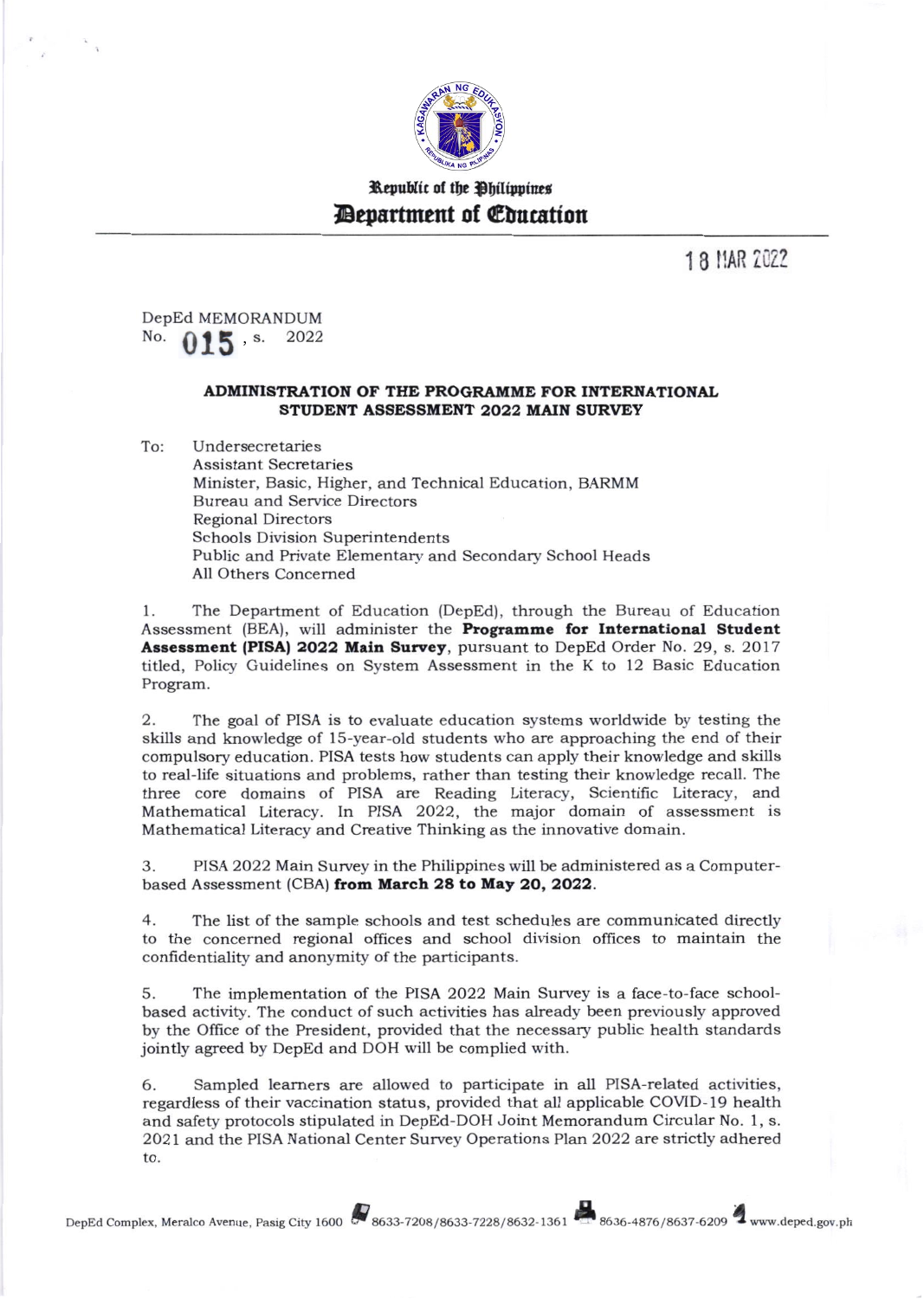

## Republic of the Philippines **Department of Education**

18 MAR 2022

DepEd MEMORANDUM No. 2022  $015$  s.

## ADMINISTRATION OF THE PROGRAMME FOR INTERNATIONAL STUDENT ASSESSMENT 2022 MAIN SURVEY

To: Undersecretaries **Assistant Secretaries** Minister, Basic, Higher, and Technical Education, BARMM **Bureau and Service Directors Regional Directors Schools Division Superintendents** Public and Private Elementary and Secondary School Heads All Others Concerned

The Department of Education (DepEd), through the Bureau of Education  $1$ . Assessment (BEA), will administer the Programme for International Student Assessment (PISA) 2022 Main Survey, pursuant to DepEd Order No. 29, s. 2017 titled, Policy Guidelines on System Assessment in the K to 12 Basic Education Program.

The goal of PISA is to evaluate education systems worldwide by testing the 2. skills and knowledge of 15-year-old students who are approaching the end of their compulsory education. PISA tests how students can apply their knowledge and skills to real-life situations and problems, rather than testing their knowledge recall. The three core domains of PISA are Reading Literacy, Scientific Literacy, and Mathematical Literacy. In PISA 2022, the major domain of assessment is Mathematical Literacy and Creative Thinking as the innovative domain.

3. PISA 2022 Main Survey in the Philippines will be administered as a Computerbased Assessment (CBA) from March 28 to May 20, 2022.

 $4.$ The list of the sample schools and test schedules are communicated directly to the concerned regional offices and school division offices to maintain the confidentiality and anonymity of the participants.

The implementation of the PISA 2022 Main Survey is a face-to-face school-5. based activity. The conduct of such activities has already been previously approved by the Office of the President, provided that the necessary public health standards jointly agreed by DepEd and DOH will be complied with.

6. Sampled learners are allowed to participate in all PISA-related activities, regardless of their vaccination status, provided that all applicable COVID-19 health and safety protocols stipulated in DepEd-DOH Joint Memorandum Circular No. 1, s. 2021 and the PISA National Center Survey Operations Plan 2022 are strictly adhered to.